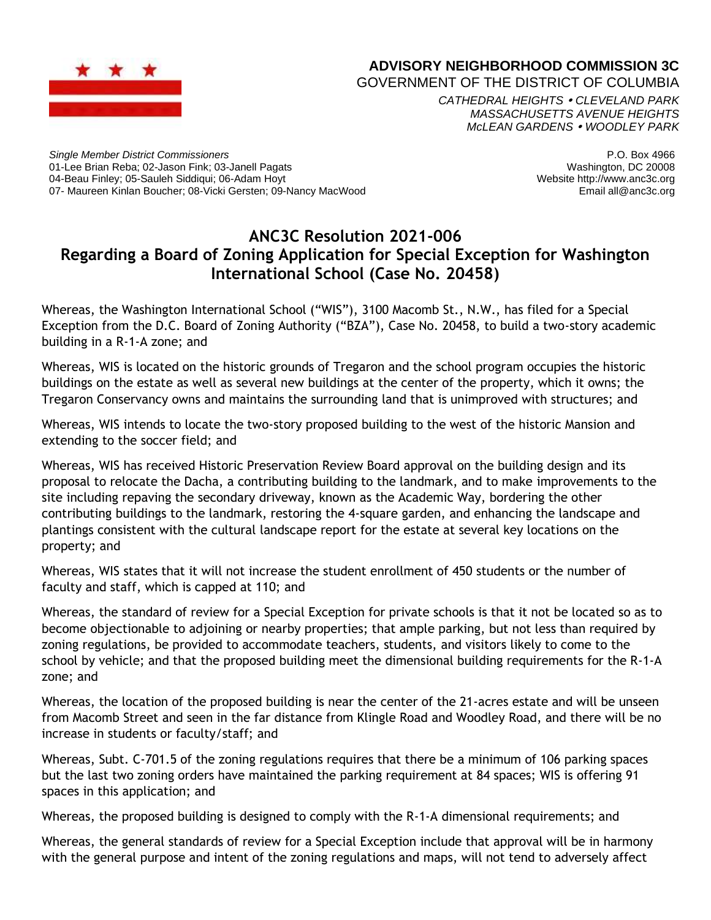

## **ADVISORY NEIGHBORHOOD COMMISSION 3C**

GOVERNMENT OF THE DISTRICT OF COLUMBIA

*CATHEDRAL HEIGHTS CLEVELAND PARK MASSACHUSETTS AVENUE HEIGHTS McLEAN GARDENS WOODLEY PARK*

*Single Member District Commissioners* 01-Lee Brian Reba; 02-Jason Fink; 03-Janell Pagats 04-Beau Finley; 05-Sauleh Siddiqui; 06-Adam Hoyt 07- Maureen Kinlan Boucher; 08-Vicki Gersten; 09-Nancy MacWood

P.O. Box 4966 Washington, DC 20008 Website http://www.anc3c.org Email all@anc3c.org

## **ANC3C Resolution 2021-006 Regarding a Board of Zoning Application for Special Exception for Washington International School (Case No. 20458)**

Whereas, the Washington International School ("WIS"), 3100 Macomb St., N.W., has filed for a Special Exception from the D.C. Board of Zoning Authority ("BZA"), Case No. 20458, to build a two-story academic building in a R-1-A zone; and

Whereas, WIS is located on the historic grounds of Tregaron and the school program occupies the historic buildings on the estate as well as several new buildings at the center of the property, which it owns; the Tregaron Conservancy owns and maintains the surrounding land that is unimproved with structures; and

Whereas, WIS intends to locate the two-story proposed building to the west of the historic Mansion and extending to the soccer field; and

Whereas, WIS has received Historic Preservation Review Board approval on the building design and its proposal to relocate the Dacha, a contributing building to the landmark, and to make improvements to the site including repaving the secondary driveway, known as the Academic Way, bordering the other contributing buildings to the landmark, restoring the 4-square garden, and enhancing the landscape and plantings consistent with the cultural landscape report for the estate at several key locations on the property; and

Whereas, WIS states that it will not increase the student enrollment of 450 students or the number of faculty and staff, which is capped at 110; and

Whereas, the standard of review for a Special Exception for private schools is that it not be located so as to become objectionable to adjoining or nearby properties; that ample parking, but not less than required by zoning regulations, be provided to accommodate teachers, students, and visitors likely to come to the school by vehicle; and that the proposed building meet the dimensional building requirements for the R-1-A zone; and

Whereas, the location of the proposed building is near the center of the 21-acres estate and will be unseen from Macomb Street and seen in the far distance from Klingle Road and Woodley Road, and there will be no increase in students or faculty/staff; and

Whereas, Subt. C-701.5 of the zoning regulations requires that there be a minimum of 106 parking spaces but the last two zoning orders have maintained the parking requirement at 84 spaces; WIS is offering 91 spaces in this application; and

Whereas, the proposed building is designed to comply with the R-1-A dimensional requirements; and

Whereas, the general standards of review for a Special Exception include that approval will be in harmony with the general purpose and intent of the zoning regulations and maps, will not tend to adversely affect